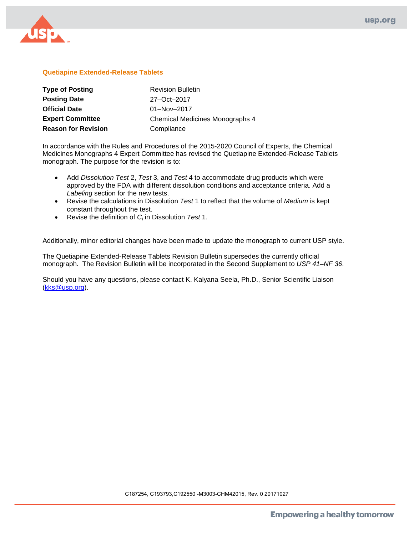

# **Quetiapine Extended-Release Tablets**

| <b>Type of Posting</b>     | <b>Revision Bulletin</b>        |
|----------------------------|---------------------------------|
| <b>Posting Date</b>        | 27-Oct-2017                     |
| <b>Official Date</b>       | $01 - Nov - 2017$               |
| <b>Expert Committee</b>    | Chemical Medicines Monographs 4 |
| <b>Reason for Revision</b> | Compliance                      |

In accordance with the Rules and Procedures of the 2015-2020 Council of Experts, the Chemical Medicines Monographs 4 Expert Committee has revised the Quetiapine Extended-Release Tablets monograph. The purpose for the revision is to:

- Add *Dissolution Test* 2, *Test* 3, and *Test* 4 to accommodate drug products which were approved by the FDA with different dissolution conditions and acceptance criteria. Add a *Labeling* section for the new tests.
- Revise the calculations in Dissolution *Test* 1 to reflect that the volume of *Medium* is kept constant throughout the test.
- Revise the definition of *Ci* in Dissolution *Test* 1.

Additionally, minor editorial changes have been made to update the monograph to current USP style.

The Quetiapine Extended-Release Tablets Revision Bulletin supersedes the currently official monograph. The Revision Bulletin will be incorporated in the Second Supplement to *USP 41–NF 36*.

Should you have any questions, please contact K. Kalyana Seela, Ph.D., Senior Scientific Liaison [\(kks@usp.org\)](mailto:kks@usp.org).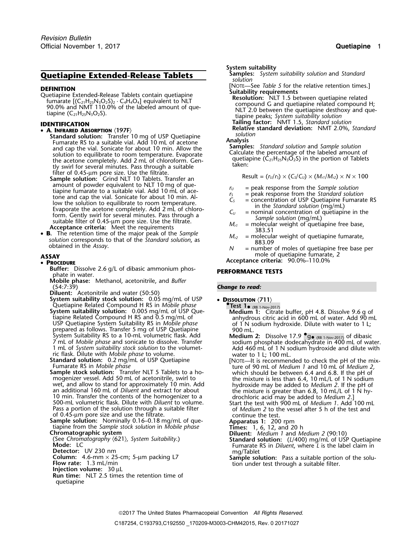# **Quetiapine Extended-Release Tablets**

**DEFINITION** [NOTE—See *Table 5* for the relative retention times.]<br>Quetiapine Extended-Release Tablets contain quetiapine<br>fumarate  $[(C_{21}H_{25}N_3O_2S)_2 \cdot C_4H_4O_4]$  equivalent to NLT<br>90.0% and NMT 110.0% of the labeled

- - **Standard solution:** Transfer 10 mg of USP Quetiapine<br>
	Fumarate RS to a suitable vial. Add 10 mL of acetone<br>
	and cap the vial. Sonicate for about 10 min. Allow the<br>
	solution to equilibrate to room temperature. Evaporate<br>
	- Sample solution: Grind NLT 10 Tablets. Transfer an<br>
	amount of powder equivalent to NLT 10 mg of que-<br>
	amount of powder equivalent to NLT 10 mg of que-<br>  $r_{\text{max}} = \text{peak response from the Sample solution}$ amount of powder equivalent to NLT To High or que-<br>tiapine fundante to a suitable vial. Add 10 mL of acce-<br>tone and cap the vial. Sonicate for about 10 min. Al-<br>low the solution to equilibrate to room temperature.<br>Evapora
- **B.** The retention time of the major peak of the Sample<br>solution corresponds to that of the Standard solution, as<br>obtained in the Assay.<br> $N =$  number of moles of quetiapine free base per<br> $N =$  number of moles of quetiapine

### • PROCEDURE

- **Buffer:** Dissolve 2.6 g/L of dibasic ammonium phos-<br>**PERFORMANCE TESTS** phate in water.
- **Mobile phase:** Methanol, acetonitrile, and *Buffer*
- 
- **Diluent:** Acetonitrile and water (50:50) **System suitability stock solution:** 0.05 mg/mL of USP • **<sup>D</sup>ISSOLUTION** 〈**711**〉 Quetiapine Related Compound H RS in *Mobile phase* **•.Test 1**•
- prepared as follows. Transfer 5 mg of USP Quetiapine 900 mL. System Suitability RS to a 10-mL volumetric flask. Add<br>7 mL of *Mobile phase* and sonicate to dissolve. Transfer

**Sample stock solution:** Transfer NLT 5 Tablets to a ho-<br>mogenizer vessel. Add 50 mL of acetonitrile, swirl to<br>wet, and allow to stand for approximately 10 min. Add<br>an additional 160 mL of *Diluent* and extract for about<br>1 Pass a portion of the solution through a suitable filter of *Medium 2* to the vessel after 5 h of the test and of 0.45-um pore size and use the filtrate. of  $0.45$ -µm pore size and use the filtrate.

- 
- 
- 
- 
- quetiapine

- **System suitability**<br>**Samples:** System suitability solution and Standard *solution*
- 
- 

**Tailing factor:** NMT 1.5, *Standard solution* **IDENTIFICATION Relative standard deviation:** NMT 2.0%, *Standard* •

- 
- 
- 
- 
- 
- 
- **ASSAY** mole of quetiapine fumarate, 2

**<sup>P</sup>ROCEDURE Acceptance criteria:** 90.0%–110.0%

### **Change to read:**

- 
- System suitability solution: 0.005 mg/mL of USP Que-<br>
System suitability solution: 0.005 mg/mL of USP Que-<br>
USP Quetiapine Related Compound H RS and 0.5 mg/mL of anhydrous citric acid in 600 mL of water. Add 90 mL<br>
USP Que
	- $\bullet$  (RB 1-Nov-2017) of dibasic
- 7 mL of *Mobile phase* and sonicate to dissolve. Transfer<br>
1 mL of *System suitability stock solution* to the volumet-<br>
ric flask. Dilute with *Mobile phase* to volume.<br> **Standard solution:** 0.2 mg/mL of USP Quetiapine<br>
Fu
	-
	-
	-
	-
- **Sample solution:** Nominally 0.16–0.18 mg/mL of que-<br>
tiapine from the *Sample stock solution* in *Mobile phase*<br> **Chromatographic system**<br>
(See *Chromatography*  $\langle 621 \rangle$ , *System Suitability*.)<br> **Chromatography**  $\langle 62$ 
	- **Detector:** UV 230 nm<br> **Column:** 4.6-mm × 25-cm; 5-μm packing L7<br> **Flow rate:** 1.3 mL/min<br> **Flow rate:** 1.3 mL/min<br> **Injection volume:** 30 μL<br> **Injection volume:** 30 μL<br> **Run time:** NLT 2.5 times the retention time of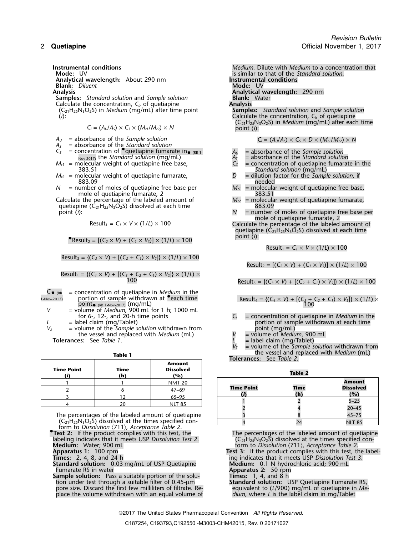*Revision Bulletin* 2 **Quetiapine Official November 1, 2017** 

**Analytical wavelength:** About 290 nm **Instrumental conditions Blank:** *Diluent* 

**Samples:** *Standard solution* and *Sample solution* **Blank:** Calculate the concentration, C<sub>i</sub>, of quetiapine **Analysis** Calculate the concentration, *C<sub>i</sub>*, of quetiapine **Analysis**<br>(C<sub>21</sub>H<sub>25</sub>N<sub>3</sub>O<sub>2</sub>S) in *Medium* (mq/mL) after time point **Samples:** Standard solution and Sample solution (C21H25N3O2S) in *Medium* (mg/mL) after time point **Samples:** *Standard solution* and *Sample solution*

$$
C_i = (A_U/A_S) \times C_S \times (M_{r1}/M_{r2}) \times N
$$

- 
- $A_U$  = absorbance of the *Sample solution*<br>  $A_S$  = absorbance of the *Standard solution*<br>  $C_S$  = concentration of **•**quetiapine fumarate in  $\bullet$  <sub>(RB 1</sub>. All and absorbance of the *Sample solution* Nov-2017) the *Standard solution* (mg/mL) *A<sup>S</sup>* = absorbance of the *Standard solution*
- $M_{r1}$  = molecular weight of quetiapine free base, 383.51
- $M_{r2}$  = molecular weight of quetiapine fumarate,  $883.09$
- *N* = number of moles of quetiapine free base per *M<sub>r1</sub>* = molecular weight of quetiapine free base, mole of quetiapine fumarate, 2
- Calculate the percentage of the labeled amount of quetiapine ( $\dot{C}_{21}H_{25}N_3\bar{O}_2S$ ) dissolved at each time 883.09<br>point (*i*):  $N =$  number

$$
Result_1 = C_1 \times V \times (1/L) \times 100
$$

$$
Result_2 = [(C_2 \times V) + (C_1 \times V_5)] \times (1/L) \times 100
$$

 $Result_3 = \{ (C_3 \times V) + [(C_2 + C_1) \times V_5] \} \times (1/L) \times 100$ 

Result<sub>4</sub> = {
$$
(C_4 \times V)
$$
 + [ $(C_3 + C_2 + C_1) \times V_3$ ]  $\times$  (1/*L*)  $\times$  100

| $C_i$ (RB   | $=$ concentration of quetiapine in <i>Medium</i> in the                                                    |                                                                                         |
|-------------|------------------------------------------------------------------------------------------------------------|-----------------------------------------------------------------------------------------|
| 1-Nov-2017) | portion of sample withdrawn at <b>Peach time</b>                                                           | Result <sub>4</sub> = { $(C_4 \times V)$ + $[(C_3 + C_2 + C_1) \times V_5]$ } × (1/L) × |
|             | $\mathsf{point}_\bullet$ $_{(\mathsf{RB}\ 1\text{-}\mathsf{Nov}\text{-}2017)}$ $(\mathsf{mg}/\mathsf{mL})$ | 100                                                                                     |
|             | = volume of <i>Medium</i> , 900 mL for 1 h; 1000 mL                                                        |                                                                                         |
|             | for $6$ -, 12-, and 20-h time points                                                                       | = concentration of quetiapine in <i>Medium</i> in the                                   |
|             | $=$ label claim (mg/Tablet)                                                                                | portion of sample withdrawn at each time                                                |
|             | $=$ volume of the <i>Sample solution</i> withdrawn from                                                    | point (mg/mL)                                                                           |
|             | the vessel and replaced with <i>Medium (mI)</i>                                                            | $-$ volume of <i>Modium</i> $000$ m                                                     |

the vessel and replaced with *Medium* (mL) **Tolerances:** See *Table 1*.

| <b>Time Point</b> | Time<br>(h) | Amount<br><b>Dissolved</b><br>(%) | <b>TOICTUITCO.</b> $JCC$ TUDIC $\mathcal{L}$ . | <b>Table 2</b> |
|-------------------|-------------|-----------------------------------|------------------------------------------------|----------------|
|                   |             | <b>NMT 20</b>                     |                                                |                |
|                   |             | $47 - 69$                         | <b>Time Point</b>                              | Time           |
|                   |             | $65 - 95$                         |                                                | (h)            |
|                   |             | NLT 85                            |                                                |                |

The percentages of the labeled amount of quetiapine form to *Dissolution*  $\langle 711 \rangle$ , *Acceptance Table 2.* 

**Test 2:** If the product complies with this test, the The percentages of the labeled amount of quetiapine labeling indicates that it meets USP Dissolution Test 2. (C<sub>21</sub>H<sub>25</sub>N<sub>3</sub>O<sub>2</sub>S) dissolved at the times specified conlabeling indicates that it meets USP *Dissolution Test 2*. (C21H25N3O2S) dissolved at the times specified con-

**Superatus 1:** 100 rpm<br> **Standard solution:** 0.03 mg/mL of USP Quetiapine<br> **Standard solution:** 0.03 mg/mL of USP Quetiapine<br> **Medium:** 0.1 N hydrochloric acid; 900 mL<br> **EUTER STANDER SUPER SOLUTION:** Medium: 0.1 N hydroch

**Sample solution:** Pass a suitable portion of the solution under test through a suitable filter of 0.45-µm pore size. Discard the first few milliliters of filtrate. Re-<br>place the volume withdrawn with an equal volume of *dium, where L* is the label claim in mg/Tablet place the volume withdrawn with an equal volume of

**Instrumental conditions** *Medium*. Dilute with *Medium* to a concentration that **Mode:** UV is similar to that of the *Standard solution*. **Analysis Analytical wavelength:** 290 nm (*i*): Calculate the concentration, *C<sup>i</sup>*, of quetiapine (C21H25N3O2S) in *Medium* (mg/mL) after each time *<sup>C</sup><sup>i</sup>* = (*AU*/*AS*) <sup>×</sup> *<sup>C</sup><sup>S</sup>* <sup>×</sup> (*Mr1*/*Mr2*) <sup>×</sup> *<sup>N</sup>* point (*i*):

- 
- $A_U$  = absorbance of the *Sample solution*<br> $A_S$  = absorbance of the *Standard solution*
- Standard solution (mg/mL)<br> $D =$  dilution factor for the Sample solution, if
- needed
- 
- mole of quetiapine fumarate, 2<br>e the percentage of the labeled amount of  $M_{r2}$  = molecular weight of quetiapine fumarate,
	- = number of moles of quetiapine free base per<br>mole of quetiapine fumarate, 2

Calculate the percentage of the labeled amount of quetiapine ( $C_{21}H_{25}N_3O_2S$ ) dissolved at each time point (*i*): •

 $Result_1 = C_1 \times V \times (1/L) \times 100$ 

 $Result_2 = [(C_2 \times V) + (C_1 \times V_5)] \times (1/L) \times 100$ 

 $Result_3 = { (C_3 \times V) + [(C_2 + C_1) \times V_5] } \times (1/L) \times 100$ 

Result<sub>4</sub> = {
$$
(C_4 \times V)
$$
 + [ $(C_3 + C_2 + C_1) \times V_5$ ]  $\times$  (1/*L*)  $\times$ 

*V* = volume of *Medium*, 900 mL

 $\mathcal{L}$  = label claim (mg/Tablet)<br> $V_s$  = volume of the *Sample s V<sup>S</sup>* = volume of the *Sample solution* withdrawn from the vessel and replaced with *Medium* (mL) **Table 1 Tolerances:** See *Table 2*.

| w                                                                   | -70 I         |                   |             |                  |
|---------------------------------------------------------------------|---------------|-------------------|-------------|------------------|
|                                                                     | <b>NMT 20</b> |                   |             | <b>Amount</b>    |
|                                                                     | $47 - 69$     | <b>Time Point</b> | <b>Time</b> | <b>Dissolved</b> |
|                                                                     | $65 - 95$     |                   | (h)         | (%)              |
|                                                                     |               |                   |             | $5 - 25$         |
|                                                                     | <b>NLT 85</b> |                   |             | $20 - 45$        |
| he percentages of the labeled amount of quetiapine                  |               |                   |             | $45 - 75$        |
| $(C_{21}H_{25}N_3O_2\bar{S})$ dissolved at the times specified con- |               |                   |             | <b>NLT 85</b>    |

**Medium:** Water; 900 mL form to *Dissolution* 〈711〉, *Acceptance Table 2*.

**Apparatus 1:** 100 rpm **Test 3:** If the product complies with this test, the label-**Times:** 2, 4, 8, and 24 h ing indicates that it meets USP *Dissolution Test 3*.

**Apparatus 2:** 50 rpm<br>**Times:** 1, 4, and 8 h

**Standard solution:** USP Quetiapine Fumarate RS, equivalent to (L/900) mg/mL of quetiapine in Me-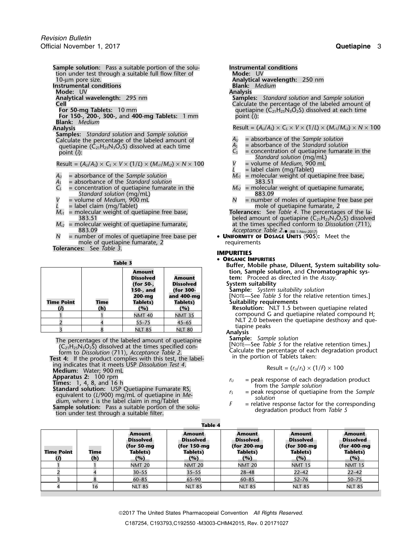**Sample solution:** Pass a suitable portion of the solu-<br> **Instrumental conditions**<br> **Instrumental conditions**<br> **Instrumental conditions** tion under test through a suitable full flow filter of 10-um pore size. **Instrumental conditions Blank:** *Medium* **Mode:** UV **Analysis Analytical wavelength:** 295 nm **Samples:** *Standard solution* and *Sample solution* **Cell** Calculate the percentage of the labeled amount of Calculate the percentage of the labeled amount of C<sub>21</sub>H<sub>25</sub>N<sub>3</sub>O<sub>2</sub>S) dissolved at each time **For 150-, 200-, 300-,** and **400-mg Tablets:** 1 mm point (*i*): **Blank:** *Medium*

**Samples:** *Standard solution* and *Sample solution* Calculate the percentage of the labeled amount of  $A_U$  = absorbance of the *Sample solution*<br>quetiapine  $(C_2,H_2,N_2O_2S)$  dissolved at each time  $A_S$  = absorbance of the *Standard solution* quetiapine ( $\dot{C}_{21}H_{25}N_3\bar{O}_2$ S) dissolved at each time  $\frac{A_5}{C_5}$ 

 $Result = (A<sub>U</sub>/A<sub>S</sub>) \times C<sub>S</sub> \times V \times (1/L) \times (M<sub>rl</sub>/M<sub>rl</sub>) \times N \times 100$ 

- 
- $=$  absorbance of the *Standard solution*
- $C_s$  = concentration of quetiapine fumarate in the  $M_{r2}$  = molecular weight of quetiapine fumarate, Standard solution (mg/mL) *Standard solution* (mg/mL)<br>= volume of *Medium,* 900 mL
- 
- 
- 
- 883.09 *Acceptance Table 2*. (RB 1-Nov-2017)
- mole of quetiapine fumarate, 2 **Tolerances:** See *Table 3*.

|                   |      | IUVIC J                                                                           |                                                                                 |
|-------------------|------|-----------------------------------------------------------------------------------|---------------------------------------------------------------------------------|
| <b>Time Point</b> | Time | Amount<br><b>Dissolved</b><br>(for 50-,<br>150-, and<br>200-mg<br><b>Tablets)</b> | <b>Amount</b><br><b>Dissolved</b><br>(for 300-<br>and 400-mg<br><b>Tablets)</b> |
|                   | (h)  | (%)                                                                               | (%)                                                                             |
|                   |      | <b>NMT 40</b>                                                                     | <b>NMT 35</b>                                                                   |
|                   |      | $55 - 75$                                                                         | $45 - 65$                                                                       |
|                   |      | <b>NIT 85</b>                                                                     | <b>NIT 80</b>                                                                   |

ing indicates that it meets USP *Dissolution Test 4*. **Medium:** Water; 900 mL<br>**Apparatus 2:** 100 rpm<br>**Times:** 1, 4, 8, and 16 h **Example solution:** Times: 1, 4, 8, and 16 h<br> **Example solution:** USP Quetiapine Fumarate RS,<br>
equivalent to (*L*/900) mg/mL of quetiapine in *Me*<br>
equivalent to (*L*/900) mg/mL of quetiapine in *Me*<br>
equivalent to the so

Analytical wavelength: 250 nm<br>Blank: Medium

quetiapine (C<sub>21</sub>H<sub>25</sub>N<sub>3</sub>O<sub>2</sub>S) dissolved at each time<br>point *(i*):

**Analysis**  $\mathsf{R}\text{-}\mathsf{R}\text{-}\mathsf{R}\text{-}\mathsf{R}\text{-}\mathsf{R}\text{-}\mathsf{R}\text{-}\mathsf{R}\text{-}\mathsf{R}\text{-}\mathsf{R}\text{-}\mathsf{R}\text{-}\mathsf{R}\text{-}\mathsf{R}\text{-}\mathsf{R}\text{-}\mathsf{R}\text{-}\mathsf{R}\text{-}\mathsf{R}\text{-}\mathsf{R}\text{-}\mathsf{R}\text{-}\mathsf{R}\text{-}\mathsf{R}\text{-}\mathsf{R}\text{-}\mathsf{R}\text{-}\mathsf{R}\text{-}\mathsf{R}\text{-}\mathsf{R}\text{-}\mathsf{R}\text{-}\$ 

- 
- 
- = concentration of quetiapine fumarate in the
- *Standard solution* (mg/mL)
- *L* = label claim (mg/Tablet)
- = absorbance of the *Sample solution M<sub>r1</sub>* = molecular weight of quetiapine free base,<br>= absorbance of the *Standard solution* 383.51
	-
- $V =$  volume of *Medium*, 900 mL *L* = label claim (mg/Tablet) mole of quetiapine fumarate, 2

*M*<sub>*r1*</sub> = molecular weight of quetiapine free base, **Tolerances:** See *Table 4*. The percentages of the la-383.51 beled amount of quetiapine  $(C_{21}H_{25}N_3\overline{O}_2S)$  dissolved<br>at the times specified conform to Dissolution (711),  $M_{r2}$  = molecular weight of quetiapine fumarate, at the times specified conform to *Dissolution*  $\langle 711 \rangle$ ,  $\langle 711 \rangle$ ,  $\langle 883.09 \rangle$ 

*N* = number of moles of quetiapine free base per • **UNIFORMITY OF DOSAGE UNITS** 〈**905**〉**:** Meet the

### **IMPURITIES**

## • ORGANIC IMPURITIES

**CORGANIC IMPURITIES**<br>Buffer, Mobile phase, Diluent, System suitability solu-<br>
Buffer, Mobile phase, Diluent, System suitability solu-**Amount tion, Sample solution,** and **Chromatographic system:** Proceed as directed in the Assay.

**System suitability** 

 $5$ ample: System suitability solution

**[NOTE—See** *Table 5* **for the relative retention times.] Time Point Time Tablets) Tablets) Suitability requirements**

**(***i***) (h) (%) (%) Resolution:** NLT 1.5 between quetiapine related compound G and quetiapine related compound H; NLT 2.0 between the quetiapine desthoxy and quetiapine peaks<br>Analysis<br>**Sample:** Sample solution

The percentages of the labeled amount of quetiapine<br>  $(C_{21}H_{25}N_3O_2S)$  dissolved at the times specified con-<br>
form to *Dissolution* (711), *Acceptance Table 2*.<br>
Test 4: If the product complies with this test, the labe

$$
Result = (rU/rS) \times (1/F) \times 100
$$

- 
- 
- 

|                   |             |                                                                       | Table 4                                                      |                                                                        |                                                                         |                                                                      |
|-------------------|-------------|-----------------------------------------------------------------------|--------------------------------------------------------------|------------------------------------------------------------------------|-------------------------------------------------------------------------|----------------------------------------------------------------------|
| <b>Time Point</b> | Time<br>(h) | Amount<br><b>Dissolved</b><br>(for $50$ -mg<br><b>Tablets)</b><br>(%) | Amount<br><b>Dissolved</b><br>(for 150-mg<br>Tablets)<br>(%) | Amount<br><b>Dissolved</b><br>(for 200-mg<br><b>Tablets)</b><br>$($ %) | <b>Amount</b><br><b>Dissolved</b><br>(for 300-mg)<br>Tablets)<br>$($ %) | <b>Amount</b><br><b>Dissolved</b><br>(for 400-mg)<br>Tablets)<br>(%) |
|                   |             | <b>NMT 20</b>                                                         | <b>NMT 20</b>                                                | <b>NMT 20</b>                                                          | <b>NMT 15</b>                                                           | <b>NMT 15</b>                                                        |
|                   |             | $30 - 55$                                                             | $35 - 55$                                                    | $28 - 48$                                                              | $22 - 42$                                                               | $22 - 42$                                                            |
|                   |             | $60 - 85$                                                             | $65 - 90$                                                    | $60 - 85$                                                              | $52 - 76$                                                               | $50 - 75$                                                            |
|                   | 16          | <b>NLT 85</b>                                                         | <b>NLT 85</b>                                                | <b>NLT 85</b>                                                          | <b>NLT 85</b>                                                           | <b>NLT 85</b>                                                        |

**Table 4**